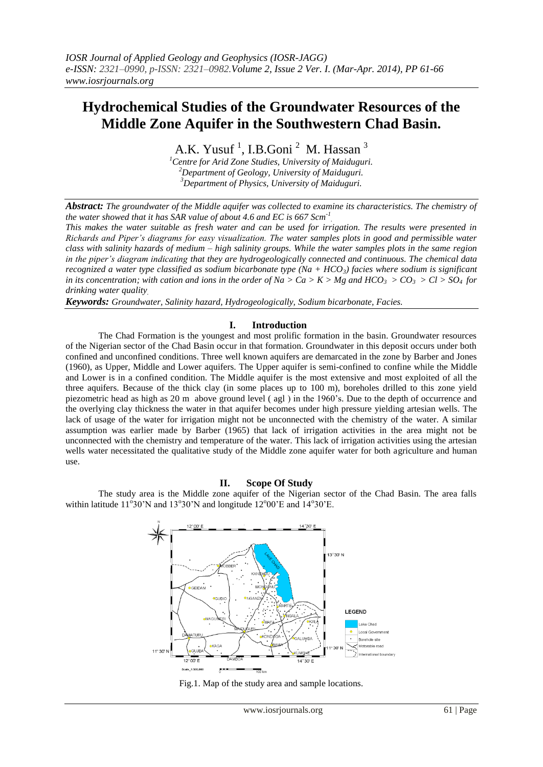# **Hydrochemical Studies of the Groundwater Resources of the Middle Zone Aquifer in the Southwestern Chad Basin.**

A.K. Yusuf<sup>1</sup>, I.B.Goni<sup>2</sup> M. Hassan<sup>3</sup>

*<sup>1</sup>Centre for Arid Zone Studies, University of Maiduguri. <sup>2</sup>Department of Geology, University of Maiduguri. <sup>3</sup>Department of Physics, University of Maiduguri.*

*Abstract: The groundwater of the Middle aquifer was collected to examine its characteristics. The chemistry of the water showed that it has SAR value of about 4.6 and EC is 667 Scm-1 .*

*This makes the water suitable as fresh water and can be used for irrigation. The results were presented in Richards and Piper's diagrams for easy visualization. The water samples plots in good and permissible water class with salinity hazards of medium – high salinity groups. While the water samples plots in the same region in the piper's diagram indicating that they are hydrogeologically connected and continuous. The chemical data recognized a water type classified as sodium bicarbonate type (Na + HCO3) facies where sodium is significant in its concentration; with cation and ions in the order of Na > Ca > K > Mg and HCO<sub>3</sub> > CO<sub>3</sub> > Cl > SO<sub>4</sub> for drinking water quality.*

*Keywords: Groundwater, Salinity hazard, Hydrogeologically, Sodium bicarbonate, Facies.*

#### **I. Introduction**

The Chad Formation is the youngest and most prolific formation in the basin. Groundwater resources of the Nigerian sector of the Chad Basin occur in that formation. Groundwater in this deposit occurs under both confined and unconfined conditions. Three well known aquifers are demarcated in the zone by Barber and Jones (1960), as Upper, Middle and Lower aquifers. The Upper aquifer is semi-confined to confine while the Middle and Lower is in a confined condition. The Middle aquifer is the most extensive and most exploited of all the three aquifers. Because of the thick clay (in some places up to 100 m), boreholes drilled to this zone yield piezometric head as high as 20 m above ground level ( agl ) in the 1960's. Due to the depth of occurrence and the overlying clay thickness the water in that aquifer becomes under high pressure yielding artesian wells. The lack of usage of the water for irrigation might not be unconnected with the chemistry of the water. A similar assumption was earlier made by Barber (1965) that lack of irrigation activities in the area might not be unconnected with the chemistry and temperature of the water. This lack of irrigation activities using the artesian wells water necessitated the qualitative study of the Middle zone aquifer water for both agriculture and human use.

#### **II. Scope Of Study**

The study area is the Middle zone aquifer of the Nigerian sector of the Chad Basin. The area falls within latitude  $11^{\circ}30'$ N and  $13^{\circ}30'$ N and longitude  $12^{\circ}00'$ E and  $14^{\circ}30'$ E.



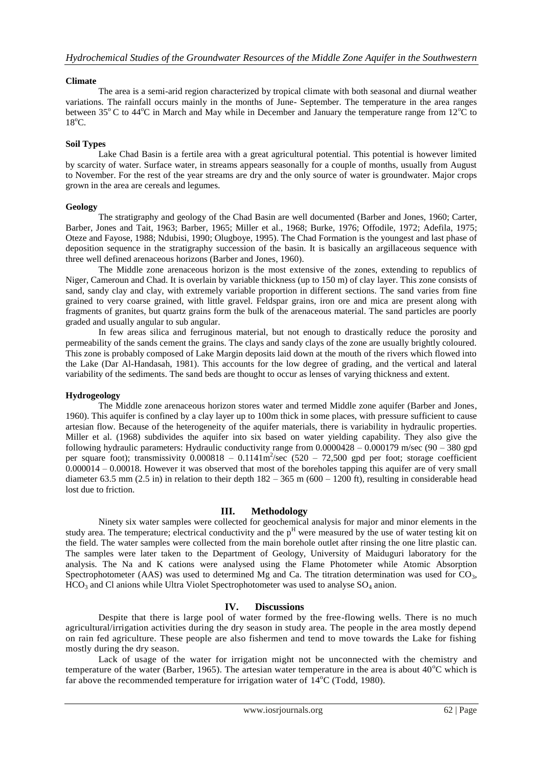# **Climate**

The area is a semi-arid region characterized by tropical climate with both seasonal and diurnal weather variations. The rainfall occurs mainly in the months of June- September. The temperature in the area ranges between 35 $^{\circ}$ C to 44 $^{\circ}$ C in March and May while in December and January the temperature range from 12 $^{\circ}$ C to  $18^{\circ}$ C.

# **Soil Types**

Lake Chad Basin is a fertile area with a great agricultural potential. This potential is however limited by scarcity of water. Surface water, in streams appears seasonally for a couple of months, usually from August to November. For the rest of the year streams are dry and the only source of water is groundwater. Major crops grown in the area are cereals and legumes.

# **Geology**

The stratigraphy and geology of the Chad Basin are well documented (Barber and Jones, 1960; Carter, Barber, Jones and Tait, 1963; Barber, 1965; Miller et al., 1968; Burke, 1976; Offodile, 1972; Adefila, 1975; Oteze and Fayose, 1988; Ndubisi, 1990; Olugboye, 1995). The Chad Formation is the youngest and last phase of deposition sequence in the stratigraphy succession of the basin. It is basically an argillaceous sequence with three well defined arenaceous horizons (Barber and Jones, 1960).

The Middle zone arenaceous horizon is the most extensive of the zones, extending to republics of Niger, Cameroun and Chad. It is overlain by variable thickness (up to 150 m) of clay layer. This zone consists of sand, sandy clay and clay, with extremely variable proportion in different sections. The sand varies from fine grained to very coarse grained, with little gravel. Feldspar grains, iron ore and mica are present along with fragments of granites, but quartz grains form the bulk of the arenaceous material. The sand particles are poorly graded and usually angular to sub angular.

In few areas silica and ferruginous material, but not enough to drastically reduce the porosity and permeability of the sands cement the grains. The clays and sandy clays of the zone are usually brightly coloured. This zone is probably composed of Lake Margin deposits laid down at the mouth of the rivers which flowed into the Lake (Dar Al-Handasah, 1981). This accounts for the low degree of grading, and the vertical and lateral variability of the sediments. The sand beds are thought to occur as lenses of varying thickness and extent.

### **Hydrogeology**

The Middle zone arenaceous horizon stores water and termed Middle zone aquifer (Barber and Jones, 1960). This aquifer is confined by a clay layer up to 100m thick in some places, with pressure sufficient to cause artesian flow. Because of the heterogeneity of the aquifer materials, there is variability in hydraulic properties. Miller et al. (1968) subdivides the aquifer into six based on water yielding capability. They also give the following hydraulic parameters: Hydraulic conductivity range from 0.0000428 – 0.000179 m/sec (90 – 380 gpd per square foot); transmissivity  $0.000818 - 0.1141m^2/\text{sec}$  (520 – 72,500 gpd per foot; storage coefficient 0.000014 – 0.00018. However it was observed that most of the boreholes tapping this aquifer are of very small diameter 63.5 mm (2.5 in) in relation to their depth  $182 - 365$  m (600 – 1200 ft), resulting in considerable head lost due to friction.

# **III. Methodology**

Ninety six water samples were collected for geochemical analysis for major and minor elements in the study area. The temperature; electrical conductivity and the  $p<sup>H</sup>$  were measured by the use of water testing kit on the field. The water samples were collected from the main borehole outlet after rinsing the one litre plastic can. The samples were later taken to the Department of Geology, University of Maiduguri laboratory for the analysis. The Na and K cations were analysed using the Flame Photometer while Atomic Absorption Spectrophotometer (AAS) was used to determined Mg and Ca. The titration determination was used for  $CO<sub>3</sub>$ ,  $HCO<sub>3</sub>$  and Cl anions while Ultra Violet Spectrophotometer was used to analyse  $SO<sub>4</sub>$  anion.

# **IV. Discussions**

Despite that there is large pool of water formed by the free-flowing wells. There is no much agricultural/irrigation activities during the dry season in study area. The people in the area mostly depend on rain fed agriculture. These people are also fishermen and tend to move towards the Lake for fishing mostly during the dry season.

Lack of usage of the water for irrigation might not be unconnected with the chemistry and temperature of the water (Barber, 1965). The artesian water temperature in the area is about  $40^{\circ}$ C which is far above the recommended temperature for irrigation water of  $14^{\circ}$ C (Todd, 1980).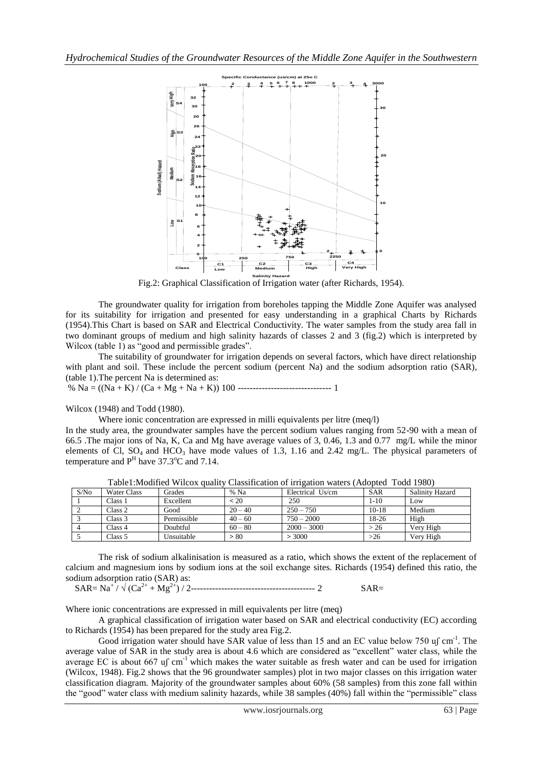

Fig.2: Graphical Classification of Irrigation water (after Richards, 1954).

The groundwater quality for irrigation from boreholes tapping the Middle Zone Aquifer was analysed for its suitability for irrigation and presented for easy understanding in a graphical Charts by Richards (1954).This Chart is based on SAR and Electrical Conductivity. The water samples from the study area fall in two dominant groups of medium and high salinity hazards of classes 2 and 3 (fig.2) which is interpreted by Wilcox (table 1) as "good and permissible grades".

The suitability of groundwater for irrigation depends on several factors, which have direct relationship with plant and soil. These include the percent sodium (percent Na) and the sodium adsorption ratio (SAR), (table 1).The percent Na is determined as:

% Na = ((Na + K) / (Ca + Mg + Na + K)) 100 ------------------------------- 1

Wilcox (1948) and Todd (1980).

Where ionic concentration are expressed in milli equivalents per litre (meq/l)

In the study area, the groundwater samples have the percent sodium values ranging from 52-90 with a mean of 66.5 .The major ions of Na, K, Ca and Mg have average values of 3, 0.46, 1.3 and 0.77 mg/L while the minor elements of Cl,  $SO_4$  and  $HCO_3$  have mode values of 1.3, 1.16 and 2.42 mg/L. The physical parameters of temperature and  $P<sup>H</sup>$  have 37.3<sup>o</sup>C and 7.14.

| S/No | <b>Water Class</b> | Grades      | % Na      | Electrical Us/cm | <b>SAR</b> | Salinity Hazard |
|------|--------------------|-------------|-----------|------------------|------------|-----------------|
|      | Class 1            | Excellent   | 120       | 250              | $1 - 10$   | Low             |
|      | Class 2            | Good        | $20 - 40$ | $250 - 750$      | $10-18$    | Medium          |
|      | Class 3            | Permissible | $40 - 60$ | $750 - 2000$     | 18-26      | High            |
|      | Class 4            | Doubtful    | $60 - 80$ | $2000 - 3000$    | > 26       | Verv High       |
|      | Class 5            | Unsuitable  | > 80      | > 3000           | >26        | Very High       |

Table1:Modified Wilcox quality Classification of irrigation waters (Adopted Todd 1980)

The risk of sodium alkalinisation is measured as a ratio, which shows the extent of the replacement of calcium and magnesium ions by sodium ions at the soil exchange sites. Richards (1954) defined this ratio, the sodium adsorption ratio (SAR) as:

SAR= Na<sup>+</sup> / √ (Ca2+ + Mg2+) / 2----------------------------------------- 2 SAR=

Where ionic concentrations are expressed in mill equivalents per litre (meq)

A graphical classification of irrigation water based on SAR and electrical conductivity (EC) according to Richards (1954) has been prepared for the study area Fig.2.

Good irrigation water should have SAR value of less than 15 and an EC value below 750 uf cm<sup>-1</sup>. The average value of SAR in the study area is about 4.6 which are considered as "excellent" water class, while the average EC is about 667 u<sub>s</sub> cm<sup>-1</sup> which makes the water suitable as fresh water and can be used for irrigation (Wilcox, 1948). Fig.2 shows that the 96 groundwater samples) plot in two major classes on this irrigation water classification diagram. Majority of the groundwater samples about 60% (58 samples) from this zone fall within the "good" water class with medium salinity hazards, while 38 samples (40%) fall within the "permissible" class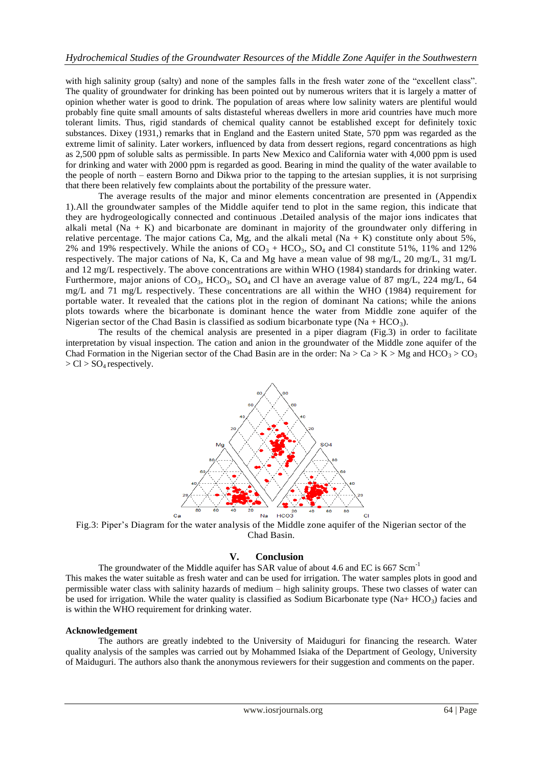with high salinity group (salty) and none of the samples falls in the fresh water zone of the "excellent class". The quality of groundwater for drinking has been pointed out by numerous writers that it is largely a matter of opinion whether water is good to drink. The population of areas where low salinity waters are plentiful would probably fine quite small amounts of salts distasteful whereas dwellers in more arid countries have much more tolerant limits. Thus, rigid standards of chemical quality cannot be established except for definitely toxic substances. Dixey (1931,) remarks that in England and the Eastern united State, 570 ppm was regarded as the extreme limit of salinity. Later workers, influenced by data from dessert regions, regard concentrations as high as 2,500 ppm of soluble salts as permissible. In parts New Mexico and California water with 4,000 ppm is used for drinking and water with 2000 ppm is regarded as good. Bearing in mind the quality of the water available to the people of north – eastern Borno and Dikwa prior to the tapping to the artesian supplies, it is not surprising that there been relatively few complaints about the portability of the pressure water.

The average results of the major and minor elements concentration are presented in (Appendix 1).All the groundwater samples of the Middle aquifer tend to plot in the same region, this indicate that they are hydrogeologically connected and continuous .Detailed analysis of the major ions indicates that alkali metal  $(Na + K)$  and bicarbonate are dominant in majority of the groundwater only differing in relative percentage. The major cations Ca, Mg, and the alkali metal  $(Na + K)$  constitute only about 5%, 2% and 19% respectively. While the anions of  $CO_3$  + HCO<sub>3</sub>, SO<sub>4</sub> and Cl constitute 51%, 11% and 12% respectively. The major cations of Na, K, Ca and Mg have a mean value of 98 mg/L, 20 mg/L, 31 mg/L and 12 mg/L respectively. The above concentrations are within WHO (1984) standards for drinking water. Furthermore, major anions of  $CO_3$ ,  $HCO_3$ ,  $SO_4$  and Cl have an average value of 87 mg/L, 224 mg/L, 64 mg/L and 71 mg/L respectively. These concentrations are all within the WHO (1984) requirement for portable water. It revealed that the cations plot in the region of dominant Na cations; while the anions plots towards where the bicarbonate is dominant hence the water from Middle zone aquifer of the Nigerian sector of the Chad Basin is classified as sodium bicarbonate type  $(Na + HCO<sub>3</sub>)$ .

The results of the chemical analysis are presented in a piper diagram (Fig.3) in order to facilitate interpretation by visual inspection. The cation and anion in the groundwater of the Middle zone aquifer of the Chad Formation in the Nigerian sector of the Chad Basin are in the order: Na > Ca > K > Mg and  $\text{HCO}_3$  > CO<sub>3</sub>  $>$  Cl  $>$  SO<sub>4</sub> respectively.



Fig.3: Piper's Diagram for the water analysis of the Middle zone aquifer of the Nigerian sector of the Chad Basin.

# **V. Conclusion**

The groundwater of the Middle aquifer has SAR value of about 4.6 and EC is 667 Scm<sup>-1</sup> This makes the water suitable as fresh water and can be used for irrigation. The water samples plots in good and permissible water class with salinity hazards of medium – high salinity groups. These two classes of water can be used for irrigation. While the water quality is classified as Sodium Bicarbonate type (Na+ HCO<sub>3</sub>) facies and is within the WHO requirement for drinking water.

### **Acknowledgement**

The authors are greatly indebted to the University of Maiduguri for financing the research. Water quality analysis of the samples was carried out by Mohammed Isiaka of the Department of Geology, University of Maiduguri. The authors also thank the anonymous reviewers for their suggestion and comments on the paper.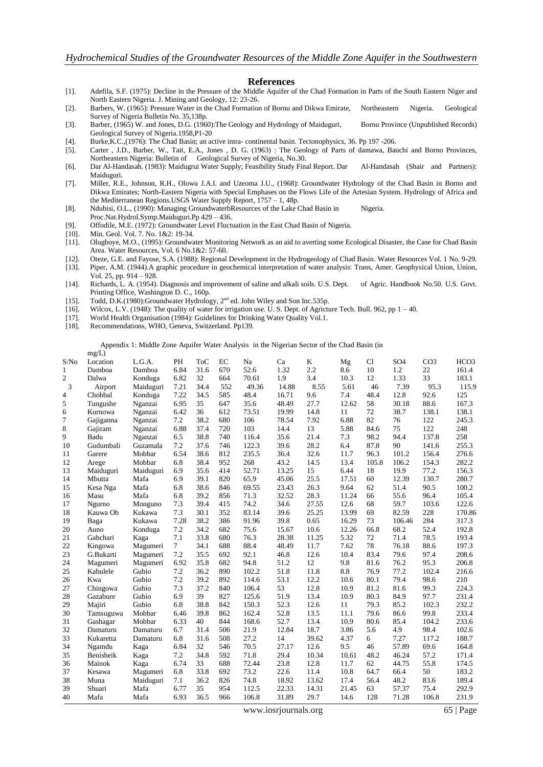#### **References**

- [1]. Adefila, S.F. (1975): Decline in the Pressure of the Middle Aquifer of the Chad Formation in Parts of the South Eastern Niger and North Eastern Nigeria. J. Mining and Geology, 12: 23-26.
- [2]. Barbers, W. (1965): Pressure Water in the Chad Formation of Bornu and Dikwa Emirate, Northeastern Nigeria. Geological Survey of Nigeria Bulletin No. 35,138p.
- [3]. Barber, (1965) W. and Jones, D.G. (1960):The Geology and Hydrology of Maiduguri, Bornu Province (Unpublished Records) Geological Survey of Nigeria.1958,P1-20
- [4]. Burke,K.C.,(1976): The Chad Basin; an active intra- continental basin. Tectonophysics, 36. Pp 197 -206.
- [5]. Carter , J.D., Barber, W., Tait, E.A., Jones , D. G. (1963) : The Geology of Parts of damawa, Bauchi and Borno Provinces, Northeastern Nigeria: Bulletin of Geological Survey of Nigeria, No.30.
- [6]. Dar Al-Handasah. (1983): Maidugrui Water Supply; Feasibility Study Final Report. Dar Al-Handasah (Shair and Partners): Maiduguri.
- [7]. Miller, R.E., Johnson, R.H., Olowu J.A.I. and Uzeoma J.U., (1968): Groundwater Hydrology of the Chad Basin in Borno and Dikwa Emirates; North-Eastern Nigeria with Special Emphases on the Flows Life of the Artesian System. Hydrology of Africa and the Mediterranean Regions.USGS Water Supply Report, 1757 – 1, 48p.
- [8]. Ndubisi, O.L., (1990): Managing GroundwaterbResources of the Lake Chad Basin in Nigeria. Proc.Nat.Hydrol.Symp.Maiduguri.Pp 429 – 436.
- [9]. Offodile, M.E. (1972): Groundwater Level Fluctuation in the East Chad Basin of Nigeria.
- [10]. Min. Geol. Vol. 7. No. 1&2: 19-34.
- [11]. Olugboye, M.O., (1995): Groundwater Monitoring Network as an aid to averting some Ecological Disaster, the Case for Chad Basin Area. Water Resources, Vol. 6 No.1&2: 57-60.
- [12]. Oteze, G.E. and Fayose, S.A. (1988): Regional Development in the Hydrogeology of Chad Basin. Water Resources Vol. 1 No. 9-29. [13]. Piper, A.M. (1944).A graphic procedure in geochemical interpretation of water analysis: Trans, Amer. Geophysical Union, Union, Vol. 25, pp. 914 – 928.
- [14]. Richards, L. A. (1954). Diagnosis and improvement of saline and alkali soils. U.S. Dept. of Agric. Handbook No.50. U.S. Govt. Printing Office, Washington D. C., 160p.
- [15]. Todd, D.K.(1980):Groundwater Hydrology, 2<sup>nd</sup> ed. John Wiley and Son Inc.535p.
- [16]. Wilcox, L.V. (1948): The quality of water for irrigation use. U. S. Dept. of Agricture Tech. Bull. 962, pp 1 40.
- [17]. World Health Organisation (1984): Guidelines for Drinking Water Quality Vol.1.
- [18]. Recommendations, WHO, Geneva, Switzerland. Pp139.

 Appendix 1: Middle Zone Aquifer Water Analysis in the Nigerian Sector of the Chad Basin (in  $m\alpha/T$ 

|      | $mg -$    |           |                 |            |     |       |       |       |       |       |                 |                 |                  |
|------|-----------|-----------|-----------------|------------|-----|-------|-------|-------|-------|-------|-----------------|-----------------|------------------|
| S/No | Location  | L.G.A.    | PH              | <b>ToC</b> | EC  | Na    | Ca    | K     | Mg    | Cl    | SO <sub>4</sub> | CO <sub>3</sub> | HCO <sub>3</sub> |
| 1    | Damboa    | Damboa    | 6.84            | 31.6       | 670 | 52.6  | 1.32  | 2.2   | 8.6   | 10    | 1.2             | 22              | 161.4            |
| 2    | Dalwa     | Konduga   | 6.82            | 32         | 664 | 70.61 | 1.9   | 3.4   | 10.3  | 12    | 1.33            | 33              | 183.1            |
| 3    | Airport   | Maiduguri | 7.21            | 34.4       | 552 | 49.36 | 14.88 | 8.55  | 5.61  | 46    | 7.39            | 95.3            | 115.9            |
| 4    | Chobbal   | Konduga   | 7.22            | 34.5       | 585 | 48.4  | 16.71 | 9.6   | 7.4   | 48.4  | 12.8            | 92.6            | 125              |
| 5    | Tungushe  | Nganzai   | 6.95            | 35         | 647 | 35.6  | 48.49 | 27.7  | 12.62 | 58    | 30.18           | 88.6            | 167.3            |
| 6    | Kurnowa   | Nganzai   | 6.42            | 36         | 612 | 73.51 | 19.99 | 14.8  | 11    | 72    | 38.7            | 138.1           | 138.1            |
| 7    | Gajiganna | Nganzai   | 7.2             | 38.2       | 680 | 106   | 78.54 | 7.92  | 6.88  | 82    | 76              | 122             | 245.3            |
| 8    | Gajiram   | Nganzai   | 6.88            | 37.4       | 720 | 103   | 14.4  | 13    | 5.88  | 84.6  | 75              | 122             | 248              |
| 9    | Badu      | Nganzai   | 6.5             | 38.8       | 740 | 116.4 | 35.6  | 21.4  | 7.3   | 98.2  | 94.4            | 137.8           | 258              |
| 10   | Gudumbali | Guzamala  | 7.2             | 37.6       | 746 | 122.3 | 39.6  | 28.2  | 6.4   | 87.8  | 90              | 141.6           | 255.3            |
| 11   | Garere    | Mobbar    | 6.54            | 38.6       | 812 | 235.5 | 36.4  | 32.6  | 11.7  | 96.3  | 101.2           | 156.4           | 276.6            |
| 12   | Arege     | Mobbar    | 6.8             | 38.4       | 952 | 268   | 43.2  | 14.5  | 13.4  | 105.8 | 106.2           | 154.3           | 282.2            |
| 13   | Maiduguri | Maiduguri | 6.9             | 35.6       | 414 | 52.71 | 13.25 | 15    | 6.44  | 18    | 19.9            | 77.2            | 156.3            |
| 14   | Mbutta    | Mafa      | 6.9             | 39.1       | 820 | 65.9  | 45.06 | 25.5  | 17.51 | 60    | 12.39           | 130.7           | 280.7            |
| 15   | Kesa Nga  | Mafa      | 6.8             | 38.6       | 846 | 69.55 | 23.43 | 26.3  | 9.64  | 62    | 51.4            | 90.5            | 100.2            |
| 16   | Masu      | Mafa      | 6.8             | 39.2       | 856 | 71.3  | 32.52 | 28.3  | 11.24 | 66    | 55.6            | 96.4            | 105.4            |
| 17   | Ngurno    | Monguno   | 7.3             | 39.4       | 415 | 74.2  | 34.6  | 27.55 | 12.6  | 68    | 59.7            | 103.6           | 122.6            |
| 18   | Kauwa Ob  | Kukawa    | 7.3             | 30.1       | 352 | 83.14 | 39.6  | 25.25 | 13.99 | 69    | 82.59           | 228             | 170.86           |
| 19   | Baga      | Kukawa    | 7.28            | 38.2       | 386 | 91.96 | 39.8  | 0.65  | 16.29 | 73    | 106.46          | 284             | 317.3            |
| 20   | Auno      | Konduga   | 7.2             | 34.2       | 682 | 75.6  | 15.67 | 10.6  | 12.26 | 66.8  | 68.2            | 52.4            | 192.8            |
| 21   | Gabchari  | Kaga      | 7.1             | 33.8       | 680 | 76.3  | 28.38 | 11.25 | 5.32  | 72    | 71.4            | 78.5            | 193.4            |
| 22   | Kingowa   | Magumeri  | $7\overline{ }$ | 34.1       | 688 | 88.4  | 48.49 | 11.7  | 7.62  | 78    | 76.18           | 88.6            | 197.3            |
| 23   | G.Bukarti | Magumeri  | 7.2             | 35.5       | 692 | 92.1  | 46.8  | 12.6  | 10.4  | 83.4  | 79.6            | 97.4            | 208.6            |
| 24   | Magumeri  | Magumeri  | 6.92            | 35.8       | 682 | 94.8  | 51.2  | 12    | 9.8   | 81.6  | 76.2            | 95.3            | 206.8            |
| 25   | Kabulele  | Gubio     | 7.2             | 36.2       | 890 | 102.2 | 51.8  | 11.8  | 8.8   | 76.9  | 77.2            | 102.4           | 216.6            |
| 26   | Kwa       | Gubio     | 7.2             | 39.2       | 892 | 114.6 | 53.1  | 12.2  | 10.6  | 80.1  | 79.4            | 98.6            | 210              |
| 27   | Chingowa  | Gubio     | 7.3             | 37.2       | 840 | 106.4 | 53    | 12.8  | 10.9  | 81.2  | 81.6            | 99.3            | 224.3            |
| 28   | Gazabure  | Gubio     | 6.9             | 39         | 827 | 125.6 | 51.9  | 13.4  | 10.9  | 80.3  | 84.9            | 97.7            | 231.4            |
| 29   | Majiri    | Gubio     | 6.8             | 38.8       | 842 | 150.3 | 52.3  | 12.6  | 11    | 79.3  | 85.2            | 102.3           | 232.2            |
| 30   | Tamsuguwa | Mobbar    | 6.46            | 39.8       | 862 | 162.4 | 52.8  | 13.5  | 11.1  | 79.6  | 86.6            | 99.8            | 233.4            |
| 31   | Gashagar  | Mobbar    | 6.33            | 40         | 844 | 168.6 | 52.7  | 13.4  | 10.9  | 80.6  | 85.4            | 104.2           | 233.6            |
| 32   | Damaturu  | Damaturu  | 6.7             | 31.4       | 506 | 21.9  | 12.84 | 18.7  | 3.86  | 5.6   | 4.9             | 98.4            | 102.6            |
| 33   | Kukaretta | Damaturu  | 6.8             | 31.6       | 508 | 27.2  | 14    | 39.62 | 4.37  | 6     | 7.27            | 117.2           | 188.7            |
| 34   | Ngamdu    | Kaga      | 6.84            | 32         | 546 | 70.5  | 27.17 | 12.6  | 9.5   | 46    | 57.89           | 69.6            | 164.8            |
| 35   | Benisheik | Kaga      | 7.2             | 34.8       | 592 | 71.8  | 29.4  | 10.34 | 10.61 | 48.2  | 46.24           | 57.2            | 171.4            |
| 36   | Mainok    | Kaga      | 6.74            | 33         | 688 | 72.44 | 23.8  | 12.8  | 11.7  | 62    | 44.75           | 55.8            | 174.5            |
| 37   | Kesawa    | Magumeri  | 6.8             | 33.8       | 692 | 73.2  | 22.6  | 11.4  | 10.8  | 64.7  | 66.4            | 50              | 183.2            |
| 38   | Muna      | Maiduguri | 7.1             | 36.2       | 826 | 74.8  | 18.92 | 13.62 | 17.4  | 56.4  | 48.2            | 83.6            | 189.4            |
| 39   | Shuari    | Mafa      | 6.77            | 35         | 954 | 112.5 | 22.33 | 14.31 | 21.45 | 63    | 57.37           | 75.4            | 292.9            |
| 40   | Mafa      | Mafa      | 6.93            | 36.5       | 966 | 106.8 | 31.89 | 29.7  | 14.6  | 128   | 71.28           | 106.8           | 231.9            |
|      |           |           |                 |            |     |       |       |       |       |       |                 |                 |                  |

www.iosrjournals.org 65 | Page